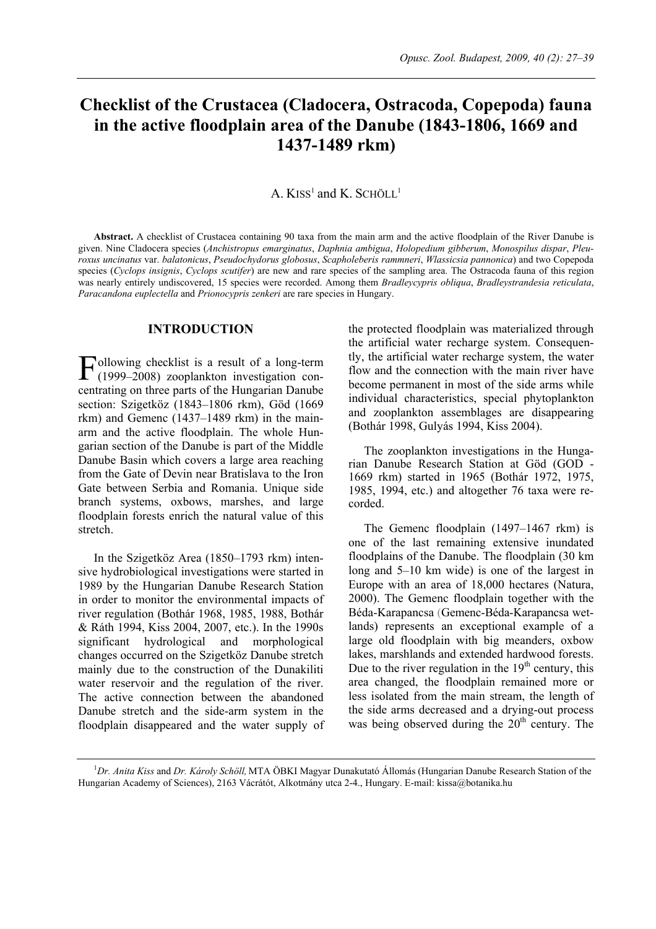# **Checklist of the Crustacea (Cladocera, Ostracoda, Copepoda) fauna in the active floodplain area of the Danube (1843-1806, 1669 and 1437-1489 rkm)**

# A.  $KISS<sup>1</sup>$  and K. SCHÖLL<sup>1</sup>

**Abstract.** A checklist of Crustacea containing 90 taxa from the main arm and the active floodplain of the River Danube is given. Nine Cladocera species (*Anchistropus emarginatus*, *Daphnia ambigua*, *Holopedium gibberum*, *Monospilus dispar*, *Pleuroxus uncinatus* var. *balatonicus*, *Pseudochydorus globosus*, *Scapholeberis rammneri*, *Wlassicsia pannonica*) and two Copepoda species (*Cyclops insignis*, *Cyclops scutifer*) are new and rare species of the sampling area. The Ostracoda fauna of this region was nearly entirely undiscovered, 15 species were recorded. Among them *Bradleycypris obliqua*, *Bradleystrandesia reticulata*, *Paracandona euplectella* and *Prionocypris zenkeri* are rare species in Hungary.

### **INTRODUCTION**

ollowing checklist is a result of a long-term  $\Gamma$ ollowing checklist is a result of a long-term<br>(1999–2008) zooplankton investigation concentrating on three parts of the Hungarian Danube section: Szigetköz (1843–1806 rkm), Göd (1669 rkm) and Gemenc (1437–1489 rkm) in the mainarm and the active floodplain. The whole Hungarian section of the Danube is part of the Middle Danube Basin which covers a large area reaching from the Gate of Devin near Bratislava to the Iron Gate between Serbia and Romania. Unique side branch systems, oxbows, marshes, and large floodplain forests enrich the natural value of this stretch.

In the Szigetköz Area (1850–1793 rkm) intensive hydrobiological investigations were started in 1989 by the Hungarian Danube Research Station in order to monitor the environmental impacts of river regulation (Bothár 1968, 1985, 1988, Bothár & Ráth 1994, Kiss 2004, 2007, etc.). In the 1990s significant hydrological and morphological changes occurred on the Szigetköz Danube stretch mainly due to the construction of the Dunakiliti water reservoir and the regulation of the river. The active connection between the abandoned Danube stretch and the side-arm system in the floodplain disappeared and the water supply of the protected floodplain was materialized through the artificial water recharge system. Consequently, the artificial water recharge system, the water flow and the connection with the main river have become permanent in most of the side arms while individual characteristics, special phytoplankton and zooplankton assemblages are disappearing (Bothár 1998, Gulyás 1994, Kiss 2004).

The zooplankton investigations in the Hungarian Danube Research Station at Göd (GOD - 1669 rkm) started in 1965 (Bothár 1972, 1975, 1985, 1994, etc.) and altogether 76 taxa were recorded.

The Gemenc floodplain (1497–1467 rkm) is one of the last remaining extensive inundated floodplains of the Danube. The floodplain (30 km long and 5–10 km wide) is one of the largest in Europe with an area of 18,000 hectares (Natura, 2000). The Gemenc floodplain together with the Béda-Karapancsa (Gemenc-Béda-Karapancsa wetlands) represents an exceptional example of a large old floodplain with big meanders, oxbow lakes, marshlands and extended hardwood forests. Due to the river regulation in the  $19<sup>th</sup>$  century, this area changed, the floodplain remained more or less isolated from the main stream, the length of the side arms decreased and a drying-out process was being observed during the  $20<sup>th</sup>$  century. The

<sup>1</sup> *Dr. Anita Kiss* and *Dr. Károly Schöll,* MTA ÖBKI Magyar Dunakutató Állomás (Hungarian Danube Research Station of the Hungarian Academy of Sciences), 2163 Vácrátót, Alkotmány utca 2-4., Hungary. E-mail: kissa@botanika.hu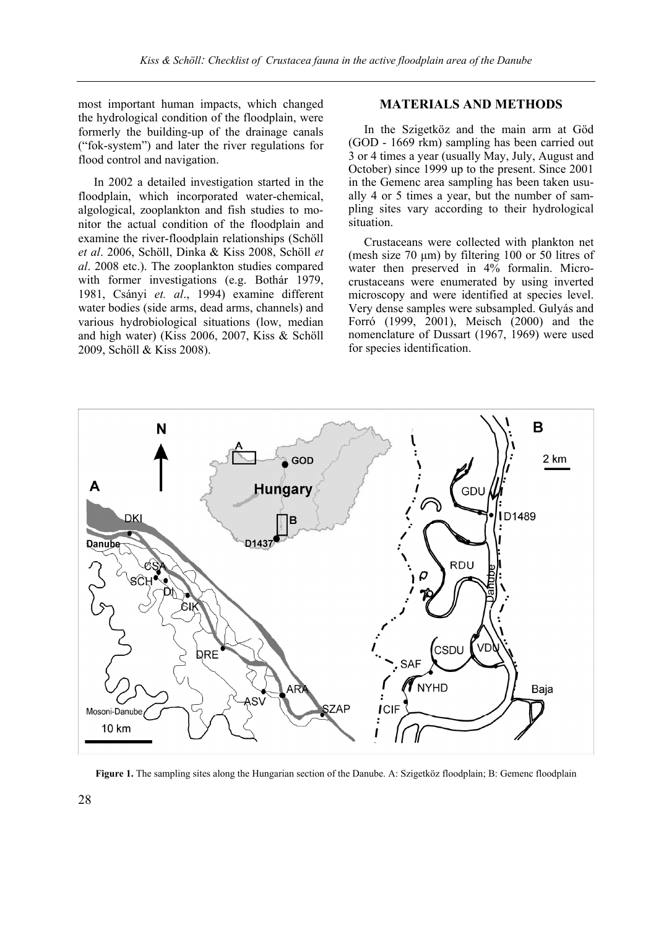most important human impacts, which changed the hydrological condition of the floodplain, were formerly the building-up of the drainage canals ("fok-system") and later the river regulations for flood control and navigation.

In 2002 a detailed investigation started in the floodplain, which incorporated water-chemical, algological, zooplankton and fish studies to monitor the actual condition of the floodplain and examine the river-floodplain relationships (Schöll *et al*. 2006, Schöll, Dinka & Kiss 2008, Schöll *et al*. 2008 etc.). The zooplankton studies compared with former investigations (e.g. Bothár 1979, 1981, Csányi *et. al*., 1994) examine different water bodies (side arms, dead arms, channels) and various hydrobiological situations (low, median and high water) (Kiss 2006, 2007, Kiss & Schöll 2009, Schöll & Kiss 2008).

### **MATERIALS AND METHODS**

In the Szigetköz and the main arm at Göd (GOD - 1669 rkm) sampling has been carried out 3 or 4 times a year (usually May, July, August and October) since 1999 up to the present. Since 2001 in the Gemenc area sampling has been taken usually 4 or 5 times a year, but the number of sampling sites vary according to their hydrological situation.

Crustaceans were collected with plankton net (mesh size  $70 \mu m$ ) by filtering 100 or 50 litres of water then preserved in 4% formalin. Microcrustaceans were enumerated by using inverted microscopy and were identified at species level. Very dense samples were subsampled. Gulyás and Forró (1999, 2001), Meisch (2000) and the nomenclature of Dussart (1967, 1969) were used for species identification.



**Figure 1.** The sampling sites along the Hungarian section of the Danube. A: Szigetköz floodplain; B: Gemenc floodplain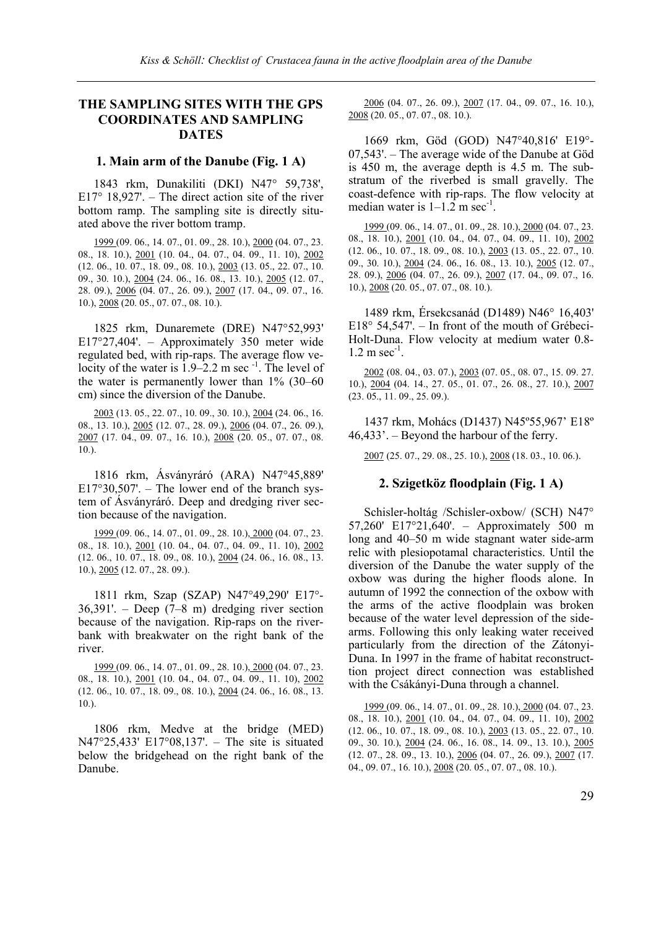# **THE SAMPLING SITES WITH THE GPS COORDINATES AND SAMPLING DATES**

### **1. Main arm of the Danube (Fig. 1 A)**

1843 rkm, Dunakiliti (DKI) N47° 59,738', E17 $\degree$  18,927'. – The direct action site of the river bottom ramp. The sampling site is directly situated above the river bottom tramp.

1999 (09. 06., 14. 07., 01. 09., 28. 10.), 2000 (04. 07., 23. 08., 18. 10.), 2001 (10. 04., 04. 07., 04. 09., 11. 10), 2002 (12. 06., 10. 07., 18. 09., 08. 10.), 2003 (13. 05., 22. 07., 10. 09., 30. 10.), 2004 (24. 06., 16. 08., 13. 10.), 2005 (12. 07., 28. 09.), 2006 (04. 07., 26. 09.), 2007 (17. 04., 09. 07., 16. 10.), 2008 (20. 05., 07. 07., 08. 10.).

1825 rkm, Dunaremete (DRE) N47°52,993' E17°27,404'. – Approximately 350 meter wide regulated bed, with rip-raps. The average flow velocity of the water is  $1.9-2.2$  m sec<sup>-1</sup>. The level of the water is permanently lower than 1% (30–60 cm) since the diversion of the Danube.

2003 (13. 05., 22. 07., 10. 09., 30. 10.), 2004 (24. 06., 16. 08., 13. 10.), 2005 (12. 07., 28. 09.), 2006 (04. 07., 26. 09.), 2007 (17. 04., 09. 07., 16. 10.), 2008 (20. 05., 07. 07., 08. 10.).

1816 rkm, Ásványráró (ARA) N47°45,889'  $E17^{\circ}30,507'$ . – The lower end of the branch system of Ásványráró. Deep and dredging river section because of the navigation.

1999 (09. 06., 14. 07., 01. 09., 28. 10.), 2000 (04. 07., 23. 08., 18. 10.), 2001 (10. 04., 04. 07., 04. 09., 11. 10), 2002 (12. 06., 10. 07., 18. 09., 08. 10.), 2004 (24. 06., 16. 08., 13. 10.), 2005 (12. 07., 28. 09.).

1811 rkm, Szap (SZAP) N47°49,290' E17°- 36,391'. – Deep (7–8 m) dredging river section because of the navigation. Rip-raps on the riverbank with breakwater on the right bank of the river.

1999 (09. 06., 14. 07., 01. 09., 28. 10.), 2000 (04. 07., 23. 08., 18. 10.), 2001 (10. 04., 04. 07., 04. 09., 11. 10), 2002 (12. 06., 10. 07., 18. 09., 08. 10.), 2004 (24. 06., 16. 08., 13.  $10.$ ).

1806 rkm, Medve at the bridge (MED) N47°25,433' E17°08,137'. – The site is situated below the bridgehead on the right bank of the Danube.

2006 (04. 07., 26. 09.), 2007 (17. 04., 09. 07., 16. 10.), 2008 (20. 05., 07. 07., 08. 10.).

1669 rkm, Göd (GOD) N47°40,816' E19°- 07,543'. – The average wide of the Danube at Göd is 450 m, the average depth is 4.5 m. The substratum of the riverbed is small gravelly. The coast-defence with rip-raps. The flow velocity at median water is  $1-1.2$  m sec<sup>-1</sup>.

1999 (09. 06., 14. 07., 01. 09., 28. 10.), 2000 (04. 07., 23. 08., 18. 10.), 2001 (10. 04., 04. 07., 04. 09., 11. 10), 2002 (12. 06., 10. 07., 18. 09., 08. 10.), 2003 (13. 05., 22. 07., 10. 09., 30. 10.), 2004 (24. 06., 16. 08., 13. 10.), 2005 (12. 07., 28. 09.), 2006 (04. 07., 26. 09.), 2007 (17. 04., 09. 07., 16. 10.), 2008 (20. 05., 07. 07., 08. 10.).

1489 rkm, Érsekcsanád (D1489) N46° 16,403' E18° 54,547'. – In front of the mouth of Grébeci-Holt-Duna. Flow velocity at medium water 0.8-  $1.2 \text{ m sec}^{-1}$ .

2002 (08. 04., 03. 07.), 2003 (07. 05., 08. 07., 15. 09. 27. 10.), 2004 (04. 14., 27. 05., 01. 07., 26. 08., 27. 10.), 2007 (23. 05., 11. 09., 25. 09.).

1437 rkm, Mohács (D1437) N45º55,967' E18º 46,433'. – Beyond the harbour of the ferry.

2007 (25. 07., 29. 08., 25. 10.), 2008 (18. 03., 10. 06.).

### **2. Szigetköz floodplain (Fig. 1 A)**

Schisler-holtág /Schisler-oxbow/ (SCH) N47° 57,260' E17°21,640'. – Approximately 500 m long and 40–50 m wide stagnant water side-arm relic with plesiopotamal characteristics. Until the diversion of the Danube the water supply of the oxbow was during the higher floods alone. In autumn of 1992 the connection of the oxbow with the arms of the active floodplain was broken because of the water level depression of the sidearms. Following this only leaking water received particularly from the direction of the Zátonyi-Duna. In 1997 in the frame of habitat reconstructtion project direct connection was established with the Csákányi-Duna through a channel.

1999 (09. 06., 14. 07., 01. 09., 28. 10.), 2000 (04. 07., 23. 08., 18. 10.), 2001 (10. 04., 04. 07., 04. 09., 11. 10), 2002 (12. 06., 10. 07., 18. 09., 08. 10.), 2003 (13. 05., 22. 07., 10. 09., 30. 10.), 2004 (24. 06., 16. 08., 14. 09., 13. 10.), 2005 (12. 07., 28. 09., 13. 10.), 2006 (04. 07., 26. 09.), 2007 (17. 04., 09. 07., 16. 10.), 2008 (20. 05., 07. 07., 08. 10.).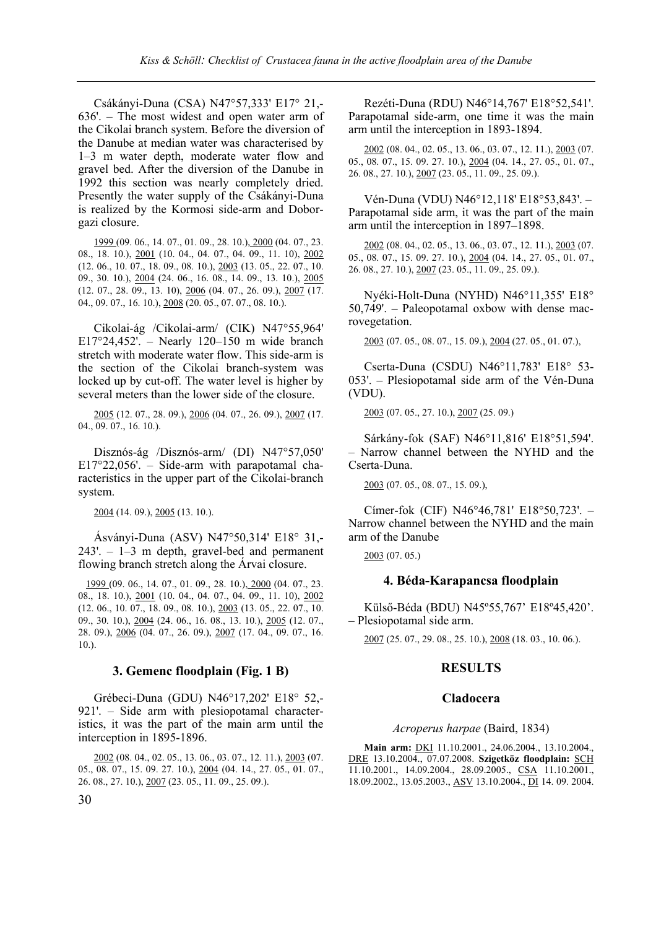Csákányi-Duna (CSA) N47°57,333' E17° 21,- 636'. – The most widest and open water arm of the Cikolai branch system. Before the diversion of the Danube at median water was characterised by 1–3 m water depth, moderate water flow and gravel bed. After the diversion of the Danube in 1992 this section was nearly completely dried. Presently the water supply of the Csákányi-Duna is realized by the Kormosi side-arm and Doborgazi closure.

1999 (09. 06., 14. 07., 01. 09., 28. 10.), 2000 (04. 07., 23. 08., 18. 10.), 2001 (10. 04., 04. 07., 04. 09., 11. 10), 2002 (12. 06., 10. 07., 18. 09., 08. 10.), 2003 (13. 05., 22. 07., 10. 09., 30. 10.), 2004 (24. 06., 16. 08., 14. 09., 13. 10.), 2005 (12. 07., 28. 09., 13. 10), 2006 (04. 07., 26. 09.), 2007 (17. 04., 09. 07., 16. 10.), 2008 (20. 05., 07. 07., 08. 10.).

Cikolai-ág /Cikolai-arm/ (CIK) N47°55,964' E17°24,452'. – Nearly 120–150 m wide branch stretch with moderate water flow. This side-arm is the section of the Cikolai branch-system was locked up by cut-off. The water level is higher by several meters than the lower side of the closure.

2005 (12. 07., 28. 09.), 2006 (04. 07., 26. 09.), 2007 (17. 04., 09. 07., 16. 10.).

Disznós-ág /Disznós-arm/ (DI) N47°57,050'  $E17^{\circ}22,056'$ . – Side-arm with parapotamal characteristics in the upper part of the Cikolai-branch system.

2004 (14. 09.), 2005 (13. 10.).

Ásványi-Duna (ASV) N47°50,314' E18° 31,- 243'. – 1–3 m depth, gravel-bed and permanent flowing branch stretch along the Árvai closure.

1999 (09. 06., 14. 07., 01. 09., 28. 10.), 2000 (04. 07., 23. 08., 18. 10.), 2001 (10. 04., 04. 07., 04. 09., 11. 10), 2002 (12. 06., 10. 07., 18. 09., 08. 10.), 2003 (13. 05., 22. 07., 10. 09., 30. 10.), 2004 (24. 06., 16. 08., 13. 10.), 2005 (12. 07., 28. 09.), 2006 (04. 07., 26. 09.), 2007 (17. 04., 09. 07., 16. 10.).

### **3. Gemenc floodplain (Fig. 1 B)**

Grébeci-Duna (GDU) N46°17,202' E18° 52,- 921'. – Side arm with plesiopotamal characteristics, it was the part of the main arm until the interception in 1895-1896.

2002 (08. 04., 02. 05., 13. 06., 03. 07., 12. 11.), 2003 (07. 05., 08. 07., 15. 09. 27. 10.), 2004 (04. 14., 27. 05., 01. 07., 26. 08., 27. 10.), 2007 (23. 05., 11. 09., 25. 09.).

Rezéti-Duna (RDU) N46°14,767' E18°52,541'. Parapotamal side-arm, one time it was the main arm until the interception in 1893-1894.

2002 (08. 04., 02. 05., 13. 06., 03. 07., 12. 11.), 2003 (07. 05., 08. 07., 15. 09. 27. 10.), 2004 (04. 14., 27. 05., 01. 07., 26. 08., 27. 10.), 2007 (23. 05., 11. 09., 25. 09.).

Vén-Duna (VDU) N46°12,118' E18°53,843'. – Parapotamal side arm, it was the part of the main arm until the interception in 1897–1898.

2002 (08. 04., 02. 05., 13. 06., 03. 07., 12. 11.), 2003 (07. 05., 08. 07., 15. 09. 27. 10.), 2004 (04. 14., 27. 05., 01. 07., 26. 08., 27. 10.), 2007 (23. 05., 11. 09., 25. 09.).

Nyéki-Holt-Duna (NYHD) N46°11,355' E18° 50,749'. – Paleopotamal oxbow with dense macrovegetation.

2003 (07. 05., 08. 07., 15. 09.), 2004 (27. 05., 01. 07.),

Cserta-Duna (CSDU) N46°11,783' E18° 53- 053'. – Plesiopotamal side arm of the Vén-Duna (VDU).

2003 (07. 05., 27. 10.), 2007 (25. 09.)

Sárkány-fok (SAF) N46°11,816' E18°51,594'. – Narrow channel between the NYHD and the Cserta-Duna.

2003 (07. 05., 08. 07., 15. 09.),

Címer-fok (CIF) N46°46,781' E18°50,723'. – Narrow channel between the NYHD and the main arm of the Danube

2003 (07. 05.)

### **4. Béda-Karapancsa floodplain**

Külső-Béda (BDU) N45º55,767' E18º45,420'. – Plesiopotamal side arm.

2007 (25. 07., 29. 08., 25. 10.), 2008 (18. 03., 10. 06.).

### **RESULTS**

### **Cladocera**

#### *Acroperus harpae* (Baird, 1834)

**Main arm:** DKI 11.10.2001., 24.06.2004., 13.10.2004., DRE 13.10.2004., 07.07.2008. **Szigetköz floodplain:** SCH 11.10.2001., 14.09.2004., 28.09.2005., CSA 11.10.2001., 18.09.2002., 13.05.2003., ASV 13.10.2004., DI 14. 09. 2004.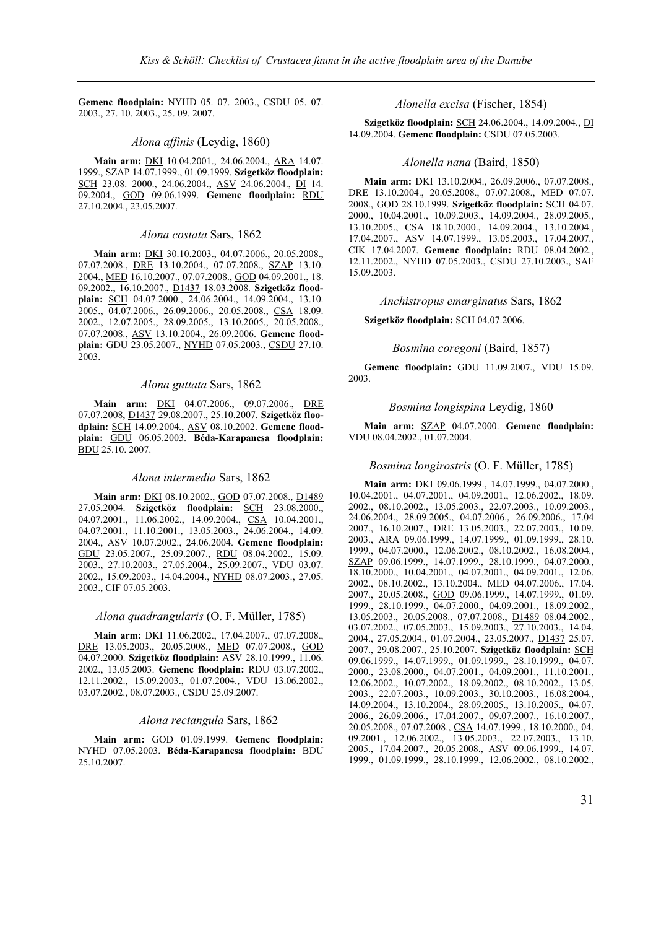**Gemenc floodplain:** NYHD 05. 07. 2003., CSDU 05. 07. 2003., 27. 10. 2003., 25. 09. 2007.

### *Alona affinis* (Leydig, 1860)

**Main arm:** DKI 10.04.2001., 24.06.2004., ARA 14.07. 1999., SZAP 14.07.1999., 01.09.1999. **Szigetköz floodplain:** SCH 23.08. 2000., 24.06.2004., ASV 24.06.2004., DI 14. 09.2004., GOD 09.06.1999. **Gemenc floodplain:** RDU 27.10.2004., 23.05.2007.

### *Alona costata* Sars, 1862

**Main arm:** DKI 30.10.2003., 04.07.2006., 20.05.2008., 07.07.2008., **DRE** 13.10.2004., 07.07.2008., **SZAP** 13.10. 2004., MED 16.10.2007., 07.07.2008., GOD 04.09.2001., 18. 09.2002., 16.10.2007., D1437 18.03.2008. **Szigetköz floodplain:** SCH 04.07.2000., 24.06.2004., 14.09.2004., 13.10. 2005., 04.07.2006., 26.09.2006., 20.05.2008., CSA 18.09. 2002., 12.07.2005., 28.09.2005., 13.10.2005., 20.05.2008., 07.07.2008., ASV 13.10.2004., 26.09.2006. **Gemenc floodplain:** GDU 23.05.2007., NYHD 07.05.2003., CSDU 27.10. 2003.

### *Alona guttata* Sars, 1862

**Main arm:** DKI 04.07.2006., 09.07.2006., DRE 07.07.2008, D1437 29.08.2007., 25.10.2007. **Szigetköz floodplain:** SCH 14.09.2004., ASV 08.10.2002. **Gemenc floodplain:** GDU 06.05.2003. **Béda-Karapancsa floodplain:**  BDU 25.10. 2007.

### *Alona intermedia* Sars, 1862

**Main arm:** DKI 08.10.2002., GOD 07.07.2008., D1489 27.05.2004. **Szigetköz floodplain:** SCH 23.08.2000., 04.07.2001., 11.06.2002., 14.09.2004., CSA 10.04.2001., 04.07.2001., 11.10.2001., 13.05.2003., 24.06.2004., 14.09. 2004., ASV 10.07.2002., 24.06.2004. **Gemenc floodplain:**  GDU 23.05.2007., 25.09.2007., RDU 08.04.2002., 15.09. 2003., 27.10.2003., 27.05.2004., 25.09.2007., VDU 03.07. 2002., 15.09.2003., 14.04.2004., NYHD 08.07.2003., 27.05. 2003., CIF 07.05.2003.

### *Alona quadrangularis* (O. F. Müller, 1785)

**Main arm:** DKI 11.06.2002., 17.04.2007., 07.07.2008., DRE 13.05.2003., 20.05.2008., MED 07.07.2008., GOD 04.07.2000. **Szigetköz floodplain:** ASV 28.10.1999., 11.06. 2002., 13.05.2003. **Gemenc floodplain:** RDU 03.07.2002., 12.11.2002., 15.09.2003., 01.07.2004., VDU 13.06.2002., 03.07.2002., 08.07.2003., CSDU 25.09.2007.

#### *Alona rectangula* Sars, 1862

**Main arm:** GOD 01.09.1999. **Gemenc floodplain:**  NYHD 07.05.2003. **Béda-Karapancsa floodplain:** BDU 25.10.2007.

### *Alonella excisa* (Fischer, 1854)

**Szigetköz floodplain:** SCH 24.06.2004., 14.09.2004., DI 14.09.2004. **Gemenc floodplain:** CSDU 07.05.2003.

### *Alonella nana* (Baird, 1850)

**Main arm:** DKI 13.10.2004., 26.09.2006., 07.07.2008., DRE 13.10.2004., 20.05.2008., 07.07.2008., MED 07.07. 2008., GOD 28.10.1999. **Szigetköz floodplain:** SCH 04.07. 2000., 10.04.2001., 10.09.2003., 14.09.2004., 28.09.2005., 13.10.2005., CSA 18.10.2000., 14.09.2004., 13.10.2004., 17.04.2007., ASV 14.07.1999., 13.05.2003., 17.04.2007., CIK 17.04.2007. **Gemenc floodplain:** RDU 08.04.2002., 12.11.2002., NYHD 07.05.2003., CSDU 27.10.2003., SAF 15.09.2003.

#### *Anchistropus emarginatus* Sars, 1862

**Szigetköz floodplain:** SCH 04.07.2006.

#### *Bosmina coregoni* (Baird, 1857)

**Gemenc floodplain:** GDU 11.09.2007., VDU 15.09. 2003.

### *Bosmina longispina* Leydig, 1860

**Main arm:** SZAP 04.07.2000. **Gemenc floodplain:**  VDU 08.04.2002., 01.07.2004.

### *Bosmina longirostris* (O. F. Müller, 1785)

**Main arm:** DKI 09.06.1999., 14.07.1999., 04.07.2000., 10.04.2001., 04.07.2001., 04.09.2001., 12.06.2002., 18.09. 2002., 08.10.2002., 13.05.2003., 22.07.2003., 10.09.2003., 24.06.2004., 28.09.2005., 04.07.2006., 26.09.2006., 17.04 2007., 16.10.2007., DRE 13.05.2003., 22.07.2003., 10.09. 2003., ARA 09.06.1999., 14.07.1999., 01.09.1999., 28.10. 1999., 04.07.2000., 12.06.2002., 08.10.2002., 16.08.2004., SZAP 09.06.1999., 14.07.1999., 28.10.1999., 04.07.2000., 18.10.2000., 10.04.2001., 04.07.2001., 04.09.2001., 12.06. 2002., 08.10.2002., 13.10.2004., MED 04.07.2006., 17.04. 2007., 20.05.2008., GOD 09.06.1999., 14.07.1999., 01.09. 1999., 28.10.1999., 04.07.2000., 04.09.2001., 18.09.2002., 13.05.2003., 20.05.2008., 07.07.2008., D1489 08.04.2002., 03.07.2002., 07.05.2003., 15.09.2003., 27.10.2003., 14.04. 2004., 27.05.2004., 01.07.2004., 23.05.2007., D1437 25.07. 2007., 29.08.2007., 25.10.2007. **Szigetköz floodplain:** SCH 09.06.1999., 14.07.1999., 01.09.1999., 28.10.1999., 04.07. 2000., 23.08.2000., 04.07.2001., 04.09.2001., 11.10.2001., 12.06.2002., 10.07.2002., 18.09.2002., 08.10.2002., 13.05. 2003., 22.07.2003., 10.09.2003., 30.10.2003., 16.08.2004., 14.09.2004., 13.10.2004., 28.09.2005., 13.10.2005., 04.07. 2006., 26.09.2006., 17.04.2007., 09.07.2007., 16.10.2007., 20.05.2008., 07.07.2008., CSA 14.07.1999., 18.10.2000., 04. 09.2001., 12.06.2002., 13.05.2003., 22.07.2003., 13.10. 2005., 17.04.2007., 20.05.2008., ASV 09.06.1999., 14.07. 1999., 01.09.1999., 28.10.1999., 12.06.2002., 08.10.2002.,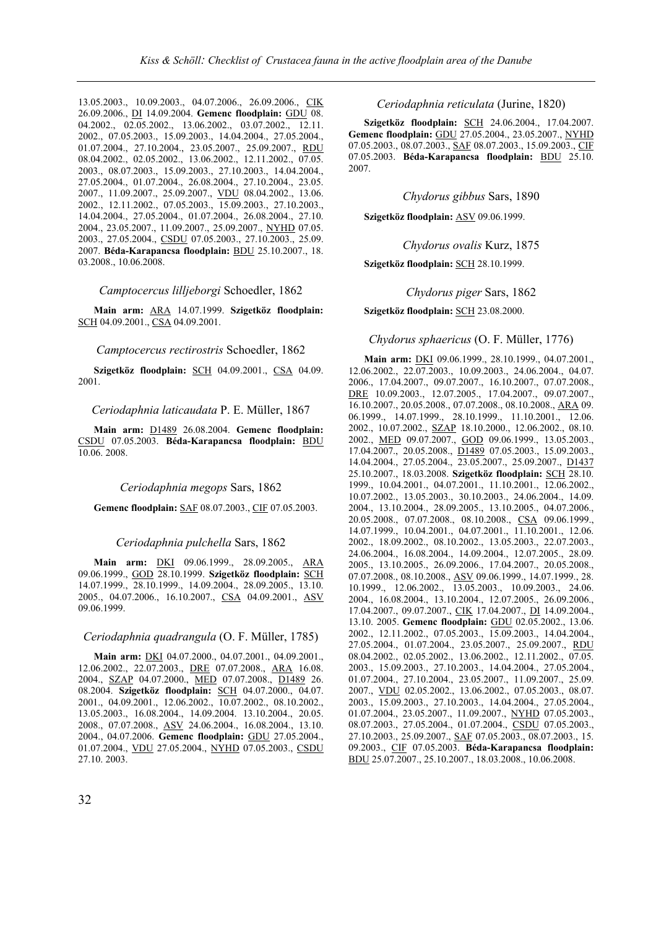13.05.2003., 10.09.2003., 04.07.2006., 26.09.2006., CIK 26.09.2006., DI 14.09.2004. **Gemenc floodplain:** GDU 08. 04.2002., 02.05.2002., 13.06.2002., 03.07.2002., 12.11. 2002., 07.05.2003., 15.09.2003., 14.04.2004., 27.05.2004., 01.07.2004., 27.10.2004., 23.05.2007., 25.09.2007., RDU 08.04.2002., 02.05.2002., 13.06.2002., 12.11.2002., 07.05. 2003., 08.07.2003., 15.09.2003., 27.10.2003., 14.04.2004., 27.05.2004., 01.07.2004., 26.08.2004., 27.10.2004., 23.05. 2007., 11.09.2007., 25.09.2007., VDU 08.04.2002., 13.06. 2002., 12.11.2002., 07.05.2003., 15.09.2003., 27.10.2003., 14.04.2004., 27.05.2004., 01.07.2004., 26.08.2004., 27.10. 2004., 23.05.2007., 11.09.2007., 25.09.2007., NYHD 07.05. 2003., 27.05.2004., CSDU 07.05.2003., 27.10.2003., 25.09. 2007. **Béda-Karapancsa floodplain:** BDU 25.10.2007., 18. 03.2008., 10.06.2008.

*Camptocercus lilljeborgi* Schoedler, 1862

**Main arm:** ARA 14.07.1999. **Szigetköz floodplain:** SCH 04.09.2001., CSA 04.09.2001.

*Camptocercus rectirostris* Schoedler, 1862

**Szigetköz floodplain:** SCH 04.09.2001., CSA 04.09. 2001.

*Ceriodaphnia laticaudata* P. E. Müller, 1867

**Main arm:** D1489 26.08.2004. **Gemenc floodplain:**  CSDU 07.05.2003. **Béda-Karapancsa floodplain:** BDU 10.06. 2008.

### *Ceriodaphnia megops* Sars, 1862

**Gemenc floodplain:** SAF 08.07.2003., CIF 07.05.2003.

### *Ceriodaphnia pulchella* Sars, 1862

**Main arm:** DKI 09.06.1999., 28.09.2005., ARA 09.06.1999., GOD 28.10.1999. **Szigetköz floodplain:** SCH 14.07.1999., 28.10.1999., 14.09.2004., 28.09.2005., 13.10. 2005., 04.07.2006., 16.10.2007., CSA 04.09.2001., ASV 09.06.1999.

*Ceriodaphnia quadrangula* (O. F. Müller, 1785)

**Main arm:** DKI 04.07.2000., 04.07.2001., 04.09.2001., 12.06.2002., 22.07.2003., DRE 07.07.2008., ARA 16.08. 2004., SZAP 04.07.2000., MED 07.07.2008., D1489 26. 08.2004. **Szigetköz floodplain:** SCH 04.07.2000., 04.07. 2001., 04.09.2001., 12.06.2002., 10.07.2002., 08.10.2002., 13.05.2003., 16.08.2004., 14.09.2004. 13.10.2004., 20.05. 2008., 07.07.2008., ASV 24.06.2004., 16.08.2004., 13.10. 2004., 04.07.2006. **Gemenc floodplain:** GDU 27.05.2004., 01.07.2004., VDU 27.05.2004., NYHD 07.05.2003., CSDU 27.10. 2003.

*Ceriodaphnia reticulata* (Jurine, 1820)

**Szigetköz floodplain:** SCH 24.06.2004., 17.04.2007. **Gemenc floodplain:** GDU 27.05.2004., 23.05.2007., NYHD 07.05.2003., 08.07.2003., SAF 08.07.2003., 15.09.2003., CIF 07.05.2003. **Béda-Karapancsa floodplain:** BDU 25.10. 2007.

*Chydorus gibbus* Sars, 1890

**Szigetköz floodplain:** ASV 09.06.1999.

*Chydorus ovalis* Kurz, 1875

**Szigetköz floodplain:** SCH 28.10.1999.

*Chydorus piger* Sars, 1862

**Szigetköz floodplain:** SCH 23.08.2000.

#### *Chydorus sphaericus* (O. F. Müller, 1776)

**Main arm:** DKI 09.06.1999., 28.10.1999., 04.07.2001., 12.06.2002., 22.07.2003., 10.09.2003., 24.06.2004., 04.07. 2006., 17.04.2007., 09.07.2007., 16.10.2007., 07.07.2008., DRE 10.09.2003., 12.07.2005., 17.04.2007., 09.07.2007., 16.10.2007., 20.05.2008., 07.07.2008., 08.10.2008., ARA 09. 06.1999., 14.07.1999., 28.10.1999., 11.10.2001., 12.06. 2002., 10.07.2002., SZAP 18.10.2000., 12.06.2002., 08.10. 2002., MED 09.07.2007., GOD 09.06.1999., 13.05.2003., 17.04.2007., 20.05.2008., D1489 07.05.2003., 15.09.2003., 14.04.2004., 27.05.2004., 23.05.2007., 25.09.2007., D1437 25.10.2007., 18.03.2008. **Szigetköz floodplain:** SCH 28.10. 1999., 10.04.2001., 04.07.2001., 11.10.2001., 12.06.2002., 10.07.2002., 13.05.2003., 30.10.2003., 24.06.2004., 14.09. 2004., 13.10.2004., 28.09.2005., 13.10.2005., 04.07.2006., 20.05.2008., 07.07.2008., 08.10.2008., CSA 09.06.1999., 14.07.1999., 10.04.2001., 04.07.2001., 11.10.2001., 12.06. 2002., 18.09.2002., 08.10.2002., 13.05.2003., 22.07.2003., 24.06.2004., 16.08.2004., 14.09.2004., 12.07.2005., 28.09. 2005., 13.10.2005., 26.09.2006., 17.04.2007., 20.05.2008., 07.07.2008., 08.10.2008., ASV 09.06.1999., 14.07.1999., 28. 10.1999., 12.06.2002., 13.05.2003., 10.09.2003., 24.06. 2004., 16.08.2004., 13.10.2004., 12.07.2005., 26.09.2006., 17.04.2007., 09.07.2007., CIK 17.04.2007., DI 14.09.2004., 13.10. 2005. **Gemenc floodplain:** GDU 02.05.2002., 13.06. 2002., 12.11.2002., 07.05.2003., 15.09.2003., 14.04.2004., 27.05.2004., 01.07.2004., 23.05.2007., 25.09.2007., RDU 08.04.2002., 02.05.2002., 13.06.2002., 12.11.2002., 07.05. 2003., 15.09.2003., 27.10.2003., 14.04.2004., 27.05.2004., 01.07.2004., 27.10.2004., 23.05.2007., 11.09.2007., 25.09. 2007., VDU 02.05.2002., 13.06.2002., 07.05.2003., 08.07. 2003., 15.09.2003., 27.10.2003., 14.04.2004., 27.05.2004., 01.07.2004., 23.05.2007., 11.09.2007., NYHD 07.05.2003., 08.07.2003., 27.05.2004., 01.07.2004., CSDU 07.05.2003., 27.10.2003., 25.09.2007., SAF 07.05.2003., 08.07.2003., 15. 09.2003., CIF 07.05.2003. **Béda-Karapancsa floodplain:**  BDU 25.07.2007., 25.10.2007., 18.03.2008., 10.06.2008.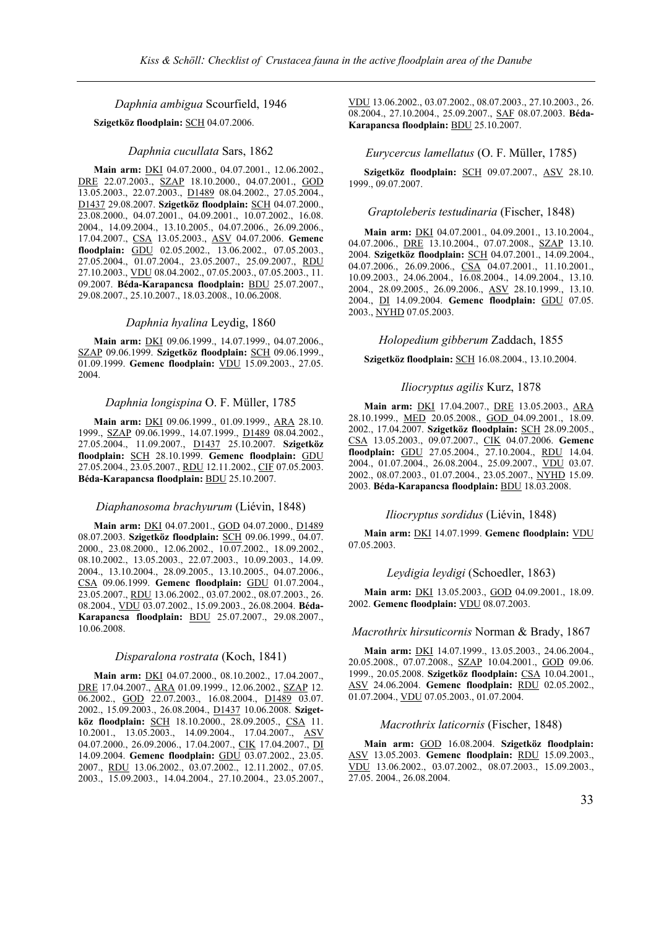*Daphnia ambigua* Scourfield, 1946

### **Szigetköz floodplain:** SCH 04.07.2006.

### *Daphnia cucullata* Sars, 1862

**Main arm:** DKI 04.07.2000., 04.07.2001., 12.06.2002., DRE 22.07.2003., SZAP 18.10.2000., 04.07.2001., GOD 13.05.2003., 22.07.2003., D1489 08.04.2002., 27.05.2004., D1437 29.08.2007. **Szigetköz floodplain:** SCH 04.07.2000., 23.08.2000., 04.07.2001., 04.09.2001., 10.07.2002., 16.08. 2004., 14.09.2004., 13.10.2005., 04.07.2006., 26.09.2006., 17.04.2007., CSA 13.05.2003., ASV 04.07.2006. **Gemenc floodplain:** GDU 02.05.2002., 13.06.2002., 07.05.2003., 27.05.2004., 01.07.2004., 23.05.2007., 25.09.2007., RDU 27.10.2003., VDU 08.04.2002., 07.05.2003., 07.05.2003., 11. 09.2007. **Béda-Karapancsa floodplain:** BDU 25.07.2007., 29.08.2007., 25.10.2007., 18.03.2008., 10.06.2008.

#### *Daphnia hyalina* Leydig, 1860

**Main arm:** DKI 09.06.1999., 14.07.1999., 04.07.2006., SZAP 09.06.1999. **Szigetköz floodplain:** SCH 09.06.1999., 01.09.1999. **Gemenc floodplain:** VDU 15.09.2003., 27.05. 2004.

#### *Daphnia longispina* O. F. Müller, 1785

**Main arm:** DKI 09.06.1999., 01.09.1999., ARA 28.10. 1999., SZAP 09.06.1999., 14.07.1999., D1489 08.04.2002., 27.05.2004., 11.09.2007., D1437 25.10.2007. **Szigetköz floodplain:** SCH 28.10.1999. **Gemenc floodplain:** GDU 27.05.2004., 23.05.2007., RDU 12.11.2002., CIF 07.05.2003. **Béda-Karapancsa floodplain:** BDU 25.10.2007.

#### *Diaphanosoma brachyurum* (Liévin, 1848)

**Main arm:** DKI 04.07.2001., GOD 04.07.2000., D1489 08.07.2003. **Szigetköz floodplain:** SCH 09.06.1999., 04.07. 2000., 23.08.2000., 12.06.2002., 10.07.2002., 18.09.2002., 08.10.2002., 13.05.2003., 22.07.2003., 10.09.2003., 14.09. 2004., 13.10.2004., 28.09.2005., 13.10.2005., 04.07.2006., CSA 09.06.1999. **Gemenc floodplain:** GDU 01.07.2004., 23.05.2007., RDU 13.06.2002., 03.07.2002., 08.07.2003., 26. 08.2004., VDU 03.07.2002., 15.09.2003., 26.08.2004. **Béda-Karapancsa floodplain:** BDU 25.07.2007., 29.08.2007., 10.06.2008.

### *Disparalona rostrata* (Koch, 1841)

**Main arm:** DKI 04.07.2000., 08.10.2002., 17.04.2007., DRE 17.04.2007., ARA 01.09.1999., 12.06.2002., SZAP 12. 06.2002., GOD 22.07.2003., 16.08.2004., D1489 03.07. 2002., 15.09.2003., 26.08.2004., D1437 10.06.2008. **Szigetköz floodplain:** SCH 18.10.2000., 28.09.2005., CSA 11. 10.2001., 13.05.2003., 14.09.2004., 17.04.2007., ASV 04.07.2000., 26.09.2006., 17.04.2007., CIK 17.04.2007., DI 14.09.2004. **Gemenc floodplain:** GDU 03.07.2002., 23.05. 2007., RDU 13.06.2002., 03.07.2002., 12.11.2002., 07.05. 2003., 15.09.2003., 14.04.2004., 27.10.2004., 23.05.2007., VDU 13.06.2002., 03.07.2002., 08.07.2003., 27.10.2003., 26. 08.2004., 27.10.2004., 25.09.2007., SAF 08.07.2003. **Béda-Karapancsa floodplain:** BDU 25.10.2007.

#### *Eurycercus lamellatus* (O. F. Müller, 1785)

**Szigetköz floodplain:** SCH 09.07.2007., ASV 28.10. 1999., 09.07.2007.

#### *Graptoleberis testudinaria* (Fischer, 1848)

**Main arm:** DKI 04.07.2001., 04.09.2001., 13.10.2004., 04.07.2006., **DRE** 13.10.2004., 07.07.2008., **SZAP** 13.10. 2004. **Szigetköz floodplain:** SCH 04.07.2001., 14.09.2004., 04.07.2006., 26.09.2006., CSA 04.07.2001., 11.10.2001., 10.09.2003., 24.06.2004., 16.08.2004., 14.09.2004., 13.10. 2004., 28.09.2005., 26.09.2006., ASV 28.10.1999., 13.10. 2004., DI 14.09.2004. **Gemenc floodplain:** GDU 07.05. 2003., NYHD 07.05.2003.

### *Holopedium gibberum* Zaddach, 1855

**Szigetköz floodplain:** SCH 16.08.2004., 13.10.2004.

#### *Iliocryptus agilis* Kurz, 1878

**Main arm:** DKI 17.04.2007., DRE 13.05.2003., ARA 28.10.1999., MED 20.05.2008., GOD 04.09.2001., 18.09. 2002., 17.04.2007. **Szigetköz floodplain:** SCH 28.09.2005., CSA 13.05.2003., 09.07.2007., CIK 04.07.2006. **Gemenc floodplain:** GDU 27.05.2004., 27.10.2004., RDU 14.04. 2004., 01.07.2004., 26.08.2004., 25.09.2007., VDU 03.07. 2002., 08.07.2003., 01.07.2004., 23.05.2007., NYHD 15.09. 2003. **Béda-Karapancsa floodplain:** BDU 18.03.2008.

### *Iliocryptus sordidus* (Liévin, 1848)

**Main arm:** DKI 14.07.1999. **Gemenc floodplain:** VDU 07.05.2003.

### *Leydigia leydigi* (Schoedler, 1863)

**Main arm:** DKI 13.05.2003., GOD 04.09.2001., 18.09. 2002. **Gemenc floodplain:** VDU 08.07.2003.

### *Macrothrix hirsuticornis* Norman & Brady, 1867

**Main arm:** DKI 14.07.1999., 13.05.2003., 24.06.2004., 20.05.2008., 07.07.2008., SZAP 10.04.2001., GOD 09.06. 1999., 20.05.2008. **Szigetköz floodplain:** CSA 10.04.2001., ASV 24.06.2004. **Gemenc floodplain:** RDU 02.05.2002., 01.07.2004., VDU 07.05.2003., 01.07.2004.

### *Macrothrix laticornis* (Fischer, 1848)

**Main arm:** GOD 16.08.2004. **Szigetköz floodplain:** ASV 13.05.2003. **Gemenc floodplain:** RDU 15.09.2003., VDU 13.06.2002., 03.07.2002., 08.07.2003., 15.09.2003., 27.05. 2004., 26.08.2004.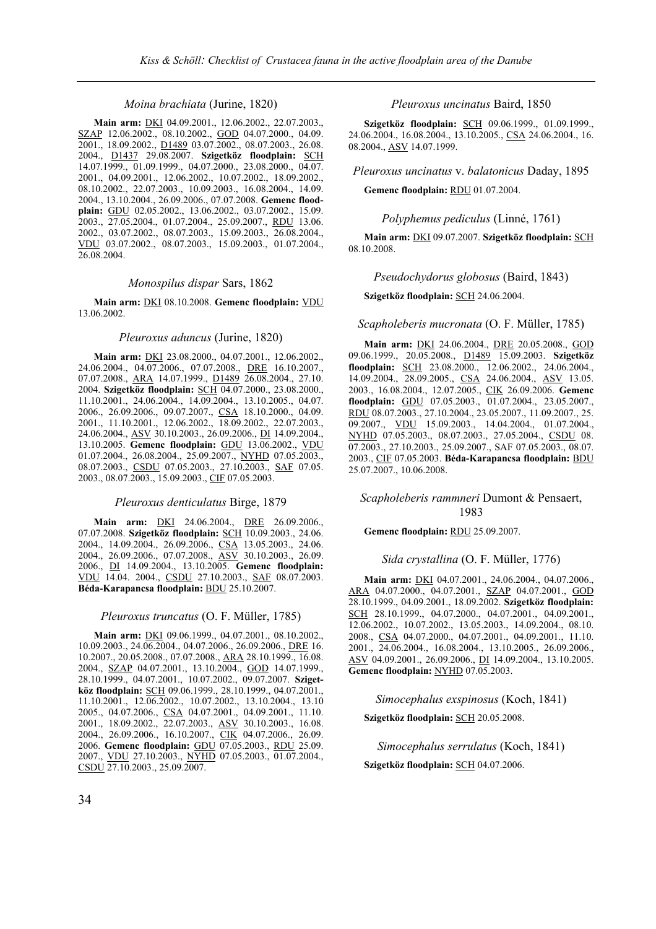### *Moina brachiata* (Jurine, 1820)

**Main arm:** DKI 04.09.2001., 12.06.2002., 22.07.2003., SZAP 12.06.2002., 08.10.2002., GOD 04.07.2000., 04.09. 2001., 18.09.2002., D1489 03.07.2002., 08.07.2003., 26.08. 2004., D1437 29.08.2007. **Szigetköz floodplain:** SCH 14.07.1999., 01.09.1999., 04.07.2000., 23.08.2000., 04.07. 2001., 04.09.2001., 12.06.2002., 10.07.2002., 18.09.2002., 08.10.2002., 22.07.2003., 10.09.2003., 16.08.2004., 14.09. 2004., 13.10.2004., 26.09.2006., 07.07.2008. **Gemenc floodplain:** GDU 02.05.2002., 13.06.2002., 03.07.2002., 15.09. 2003., 27.05.2004., 01.07.2004., 25.09.2007., RDU 13.06. 2002., 03.07.2002., 08.07.2003., 15.09.2003., 26.08.2004., VDU 03.07.2002., 08.07.2003., 15.09.2003., 01.07.2004., 26.08.2004.

### *Monospilus dispar* Sars, 1862

**Main arm:** DKI 08.10.2008. **Gemenc floodplain:** VDU 13.06.2002.

#### *Pleuroxus aduncus* (Jurine, 1820)

**Main arm:** DKI 23.08.2000., 04.07.2001., 12.06.2002., 24.06.2004., 04.07.2006., 07.07.2008., DRE 16.10.2007., 07.07.2008., ARA 14.07.1999., D1489 26.08.2004., 27.10. 2004. **Szigetköz floodplain:** SCH 04.07.2000., 23.08.2000., 11.10.2001., 24.06.2004., 14.09.2004., 13.10.2005., 04.07. 2006., 26.09.2006., 09.07.2007., CSA 18.10.2000., 04.09. 2001., 11.10.2001., 12.06.2002., 18.09.2002., 22.07.2003., 24.06.2004., ASV 30.10.2003., 26.09.2006., DI 14.09.2004., 13.10.2005. **Gemenc floodplain:** GDU 13.06.2002., VDU 01.07.2004., 26.08.2004., 25.09.2007., NYHD 07.05.2003., 08.07.2003., CSDU 07.05.2003., 27.10.2003., SAF 07.05. 2003., 08.07.2003., 15.09.2003., CIF 07.05.2003.

### *Pleuroxus denticulatus* Birge, 1879

**Main arm:** DKI 24.06.2004., DRE 26.09.2006., 07.07.2008. **Szigetköz floodplain:** SCH 10.09.2003., 24.06. 2004., 14.09.2004., 26.09.2006., CSA 13.05.2003., 24.06. 2004., 26.09.2006., 07.07.2008., ASV 30.10.2003., 26.09. 2006., DI 14.09.2004., 13.10.2005. **Gemenc floodplain:**  VDU 14.04. 2004., CSDU 27.10.2003., SAF 08.07.2003. **Béda-Karapancsa floodplain:** BDU 25.10.2007.

#### *Pleuroxus truncatus* (O. F. Müller, 1785)

**Main arm:** DKI 09.06.1999., 04.07.2001., 08.10.2002., 10.09.2003., 24.06.2004., 04.07.2006., 26.09.2006., DRE 16. 10.2007., 20.05.2008., 07.07.2008., ARA 28.10.1999., 16.08. 2004., SZAP 04.07.2001., 13.10.2004., GOD 14.07.1999., 28.10.1999., 04.07.2001., 10.07.2002., 09.07.2007. **Szigetköz floodplain:** SCH 09.06.1999., 28.10.1999., 04.07.2001., 11.10.2001., 12.06.2002., 10.07.2002., 13.10.2004., 13.10 2005., 04.07.2006., CSA 04.07.2001., 04.09.2001., 11.10. 2001., 18.09.2002., 22.07.2003., ASV 30.10.2003., 16.08. 2004., 26.09.2006., 16.10.2007., CIK 04.07.2006., 26.09. 2006. **Gemenc floodplain:** GDU 07.05.2003., RDU 25.09. 2007., VDU 27.10.2003., NYHD 07.05.2003., 01.07.2004., CSDU 27.10.2003., 25.09.2007.

*Pleuroxus uncinatus* Baird, 1850

**Szigetköz floodplain:** SCH 09.06.1999., 01.09.1999., 24.06.2004., 16.08.2004., 13.10.2005., CSA 24.06.2004., 16. 08.2004., ASV 14.07.1999.

*Pleuroxus uncinatus* v. *balatonicus* Daday, 1895

### **Gemenc floodplain:** RDU 01.07.2004.

*Polyphemus pediculus* (Linné, 1761)

**Main arm:** DKI 09.07.2007. **Szigetköz floodplain:** SCH 08.10.2008.

*Pseudochydorus globosus* (Baird, 1843)

**Szigetköz floodplain:** SCH 24.06.2004.

*Scapholeberis mucronata* (O. F. Müller, 1785)

**Main arm:** DKI 24.06.2004., DRE 20.05.2008., GOD 09.06.1999., 20.05.2008., D1489 15.09.2003. **Szigetköz floodplain:** SCH 23.08.2000., 12.06.2002., 24.06.2004., 14.09.2004., 28.09.2005., CSA 24.06.2004., ASV 13.05. 2003., 16.08.2004., 12.07.2005., CIK 26.09.2006. **Gemenc floodplain:** GDU 07.05.2003., 01.07.2004., 23.05.2007., RDU 08.07.2003., 27.10.2004., 23.05.2007., 11.09.2007., 25. 09.2007., VDU 15.09.2003., 14.04.2004., 01.07.2004., NYHD 07.05.2003., 08.07.2003., 27.05.2004., CSDU 08. 07.2003., 27.10.2003., 25.09.2007., SAF 07.05.2003., 08.07. 2003., CIF 07.05.2003. **Béda-Karapancsa floodplain:** BDU 25.07.2007., 10.06.2008.

### *Scapholeberis rammneri* Dumont & Pensaert, 1983

### **Gemenc floodplain:** RDU 25.09.2007.

#### *Sida crystallina* (O. F. Müller, 1776)

**Main arm:** DKI 04.07.2001., 24.06.2004., 04.07.2006., ARA 04.07.2000., 04.07.2001., SZAP 04.07.2001., GOD 28.10.1999., 04.09.2001., 18.09.2002. **Szigetköz floodplain:** SCH 28.10.1999., 04.07.2000., 04.07.2001., 04.09.2001., 12.06.2002., 10.07.2002., 13.05.2003., 14.09.2004., 08.10. 2008., CSA 04.07.2000., 04.07.2001., 04.09.2001., 11.10. 2001., 24.06.2004., 16.08.2004., 13.10.2005., 26.09.2006., ASV 04.09.2001., 26.09.2006., DI 14.09.2004., 13.10.2005. **Gemenc floodplain:** NYHD 07.05.2003.

*Simocephalus exspinosus* (Koch, 1841)

**Szigetköz floodplain:** SCH 20.05.2008.

*Simocephalus serrulatus* (Koch, 1841)

**Szigetköz floodplain:** SCH 04.07.2006.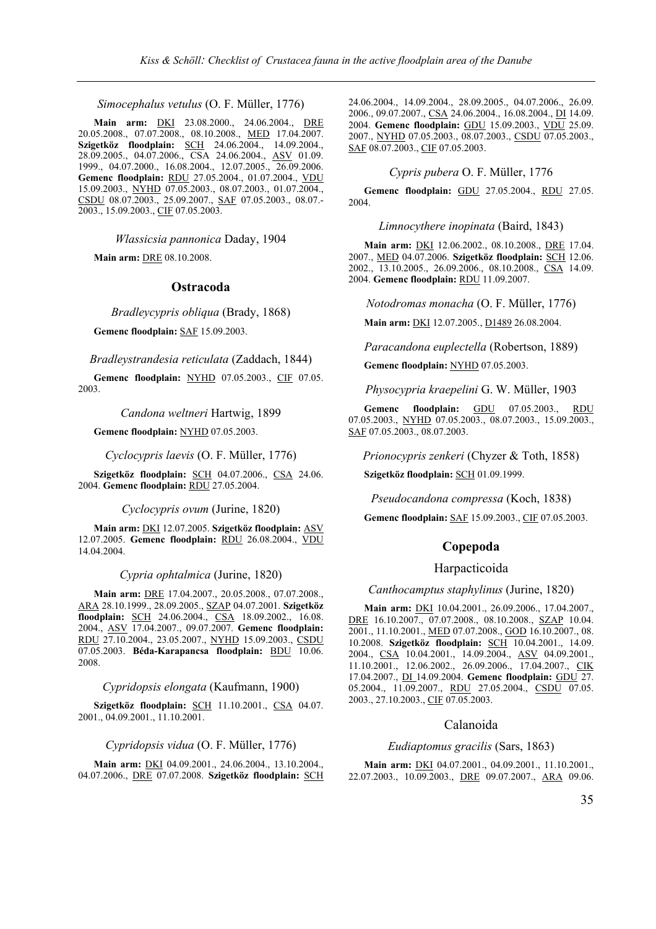*Simocephalus vetulus* (O. F. Müller, 1776)

**Main arm:** DKI 23.08.2000., 24.06.2004., DRE 20.05.2008., 07.07.2008., 08.10.2008., MED 17.04.2007. **Szigetköz floodplain:** SCH 24.06.2004., 14.09.2004., 28.09.2005., 04.07.2006., CSA 24.06.2004., ASV 01.09. 1999., 04.07.2000., 16.08.2004., 12.07.2005., 26.09.2006. **Gemenc floodplain:** RDU 27.05.2004., 01.07.2004., VDU 15.09.2003., NYHD 07.05.2003., 08.07.2003., 01.07.2004., CSDU 08.07.2003., 25.09.2007., SAF 07.05.2003., 08.07.- 2003., 15.09.2003., CIF 07.05.2003.

*Wlassicsia pannonica* Daday, 1904

**Main arm:** DRE 08.10.2008.

### **Ostracoda**

*Bradleycypris obliqua* (Brady, 1868)

**Gemenc floodplain:** SAF 15.09.2003.

*Bradleystrandesia reticulata* (Zaddach, 1844)

**Gemenc floodplain:** NYHD 07.05.2003., CIF 07.05. 2003.

### *Candona weltneri* Hartwig, 1899

**Gemenc floodplain:** NYHD 07.05.2003.

*Cyclocypris laevis* (O. F. Müller, 1776)

**Szigetköz floodplain:** SCH 04.07.2006., CSA 24.06. 2004. **Gemenc floodplain:** RDU 27.05.2004.

*Cyclocypris ovum* (Jurine, 1820)

**Main arm:** DKI 12.07.2005. **Szigetköz floodplain:** ASV 12.07.2005. **Gemenc floodplain:** RDU 26.08.2004., VDU 14.04.2004.

#### *Cypria ophtalmica* (Jurine, 1820)

**Main arm:** DRE 17.04.2007., 20.05.2008., 07.07.2008., ARA 28.10.1999., 28.09.2005., SZAP 04.07.2001. **Szigetköz floodplain:** SCH 24.06.2004., CSA 18.09.2002., 16.08. 2004., ASV 17.04.2007., 09.07.2007. **Gemenc floodplain:** RDU 27.10.2004., 23.05.2007., NYHD 15.09.2003., CSDU 07.05.2003. **Béda-Karapancsa floodplain:** BDU 10.06. 2008.

*Cypridopsis elongata* (Kaufmann, 1900)

**Szigetköz floodplain:** SCH 11.10.2001., CSA 04.07. 2001., 04.09.2001., 11.10.2001.

*Cypridopsis vidua* (O. F. Müller, 1776)

**Main arm:** DKI 04.09.2001., 24.06.2004., 13.10.2004., 04.07.2006., DRE 07.07.2008. **Szigetköz floodplain:** SCH 24.06.2004., 14.09.2004., 28.09.2005., 04.07.2006., 26.09. 2006., 09.07.2007., CSA 24.06.2004., 16.08.2004., DI 14.09. 2004. **Gemenc floodplain:** GDU 15.09.2003., VDU 25.09. 2007., NYHD 07.05.2003., 08.07.2003., CSDU 07.05.2003., SAF 08.07.2003., CIF 07.05.2003.

### *Cypris pubera* O. F. Müller, 1776

**Gemenc floodplain:** GDU 27.05.2004., RDU 27.05. 2004.

*Limnocythere inopinata* (Baird, 1843)

**Main arm:** DKI 12.06.2002., 08.10.2008., DRE 17.04. 2007., MED 04.07.2006. **Szigetköz floodplain:** SCH 12.06. 2002., 13.10.2005., 26.09.2006., 08.10.2008., CSA 14.09. 2004. **Gemenc floodplain:** RDU 11.09.2007.

*Notodromas monacha* (O. F. Müller, 1776)

**Main arm:** DKI 12.07.2005., D1489 26.08.2004.

*Paracandona euplectella* (Robertson, 1889)

**Gemenc floodplain:** NYHD 07.05.2003.

*Physocypria kraepelini* G. W. Müller, 1903

**Gemenc floodplain:** GDU 07.05.2003., RDU 07.05.2003., NYHD 07.05.2003., 08.07.2003., 15.09.2003., SAF 07.05.2003., 08.07.2003.

*Prionocypris zenkeri* (Chyzer & Toth, 1858)

**Szigetköz floodplain:** SCH 01.09.1999.

*Pseudocandona compressa* (Koch, 1838)

**Gemenc floodplain:** SAF 15.09.2003., CIF 07.05.2003.

### **Copepoda**

### Harpacticoida

# *Canthocamptus staphylinus* (Jurine, 1820)

**Main arm:** DKI 10.04.2001., 26.09.2006., 17.04.2007., DRE 16.10.2007., 07.07.2008., 08.10.2008., SZAP 10.04. 2001., 11.10.2001., MED 07.07.2008., GOD 16.10.2007., 08. 10.2008. **Szigetköz floodplain:** SCH 10.04.2001., 14.09. 2004., CSA 10.04.2001., 14.09.2004., ASV 04.09.2001., 11.10.2001., 12.06.2002., 26.09.2006., 17.04.2007., CIK 17.04.2007., DI 14.09.2004. **Gemenc floodplain:** GDU 27. 05.2004., 11.09.2007., RDU 27.05.2004., CSDU 07.05. 2003., 27.10.2003., CIF 07.05.2003.

### Calanoida

# *Eudiaptomus gracilis* (Sars, 1863)

**Main arm:** DKI 04.07.2001., 04.09.2001., 11.10.2001., 22.07.2003., 10.09.2003., DRE 09.07.2007., ARA 09.06.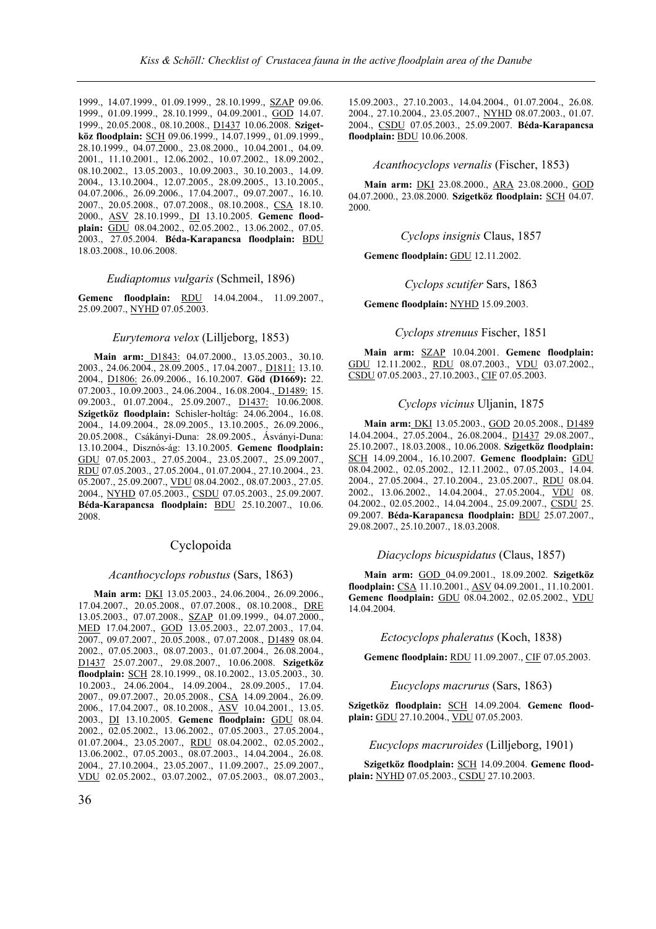1999., 14.07.1999., 01.09.1999., 28.10.1999., SZAP 09.06. 1999., 01.09.1999., 28.10.1999., 04.09.2001., GOD 14.07. 1999., 20.05.2008., 08.10.2008., D1437 10.06.2008. **Szigetköz floodplain:** SCH 09.06.1999., 14.07.1999., 01.09.1999., 28.10.1999., 04.07.2000., 23.08.2000., 10.04.2001., 04.09. 2001., 11.10.2001., 12.06.2002., 10.07.2002., 18.09.2002., 08.10.2002., 13.05.2003., 10.09.2003., 30.10.2003., 14.09. 2004., 13.10.2004., 12.07.2005., 28.09.2005., 13.10.2005., 04.07.2006., 26.09.2006., 17.04.2007., 09.07.2007., 16.10. 2007., 20.05.2008., 07.07.2008., 08.10.2008., CSA 18.10. 2000., ASV 28.10.1999., DI 13.10.2005. **Gemenc floodplain:** GDU 08.04.2002., 02.05.2002., 13.06.2002., 07.05. 2003., 27.05.2004. **Béda-Karapancsa floodplain:** BDU 18.03.2008., 10.06.2008.

### *Eudiaptomus vulgaris* (Schmeil, 1896)

**Gemenc floodplain:** RDU 14.04.2004., 11.09.2007., 25.09.2007., NYHD 07.05.2003.

### *Eurytemora velox* (Lilljeborg, 1853)

**Main arm:** D1843: 04.07.2000., 13.05.2003., 30.10. 2003., 24.06.2004., 28.09.2005., 17.04.2007., D1811: 13.10. 2004., D1806: 26.09.2006., 16.10.2007. **Göd (D1669):** 22. 07.2003., 10.09.2003., 24.06.2004., 16.08.2004., D1489: 15. 09.2003., 01.07.2004., 25.09.2007., **D1437**: 10.06.2008. **Szigetköz floodplain:** Schisler-holtág: 24.06.2004., 16.08. 2004., 14.09.2004., 28.09.2005., 13.10.2005., 26.09.2006., 20.05.2008., Csákányi-Duna: 28.09.2005., Ásványi-Duna: 13.10.2004., Disznós-ág: 13.10.2005. **Gemenc floodplain:** GDU 07.05.2003., 27.05.2004., 23.05.2007., 25.09.2007., RDU 07.05.2003., 27.05.2004., 01.07.2004., 27.10.2004., 23. 05.2007., 25.09.2007., VDU 08.04.2002., 08.07.2003., 27.05. 2004., NYHD 07.05.2003., CSDU 07.05.2003., 25.09.2007. **Béda-Karapancsa floodplain:** BDU 25.10.2007., 10.06. 2008.

### Cyclopoida

#### *Acanthocyclops robustus* (Sars, 1863)

**Main arm:** DKI 13.05.2003., 24.06.2004., 26.09.2006., 17.04.2007., 20.05.2008., 07.07.2008., 08.10.2008., DRE 13.05.2003., 07.07.2008., SZAP 01.09.1999., 04.07.2000., MED 17.04.2007., GOD 13.05.2003., 22.07.2003., 17.04. 2007., 09.07.2007., 20.05.2008., 07.07.2008., D1489 08.04. 2002., 07.05.2003., 08.07.2003., 01.07.2004., 26.08.2004., D1437 25.07.2007., 29.08.2007., 10.06.2008. **Szigetköz floodplain:** SCH 28.10.1999., 08.10.2002., 13.05.2003., 30. 10.2003., 24.06.2004., 14.09.2004., 28.09.2005., 17.04. 2007., 09.07.2007., 20.05.2008., CSA 14.09.2004., 26.09. 2006., 17.04.2007., 08.10.2008., ASV 10.04.2001., 13.05. 2003., DI 13.10.2005. **Gemenc floodplain:** GDU 08.04. 2002., 02.05.2002., 13.06.2002., 07.05.2003., 27.05.2004., 01.07.2004., 23.05.2007., RDU 08.04.2002., 02.05.2002., 13.06.2002., 07.05.2003., 08.07.2003., 14.04.2004., 26.08. 2004., 27.10.2004., 23.05.2007., 11.09.2007., 25.09.2007., VDU 02.05.2002., 03.07.2002., 07.05.2003., 08.07.2003., 15.09.2003., 27.10.2003., 14.04.2004., 01.07.2004., 26.08. 2004., 27.10.2004., 23.05.2007., NYHD 08.07.2003., 01.07. 2004., CSDU 07.05.2003., 25.09.2007. **Béda-Karapancsa floodplain:** BDU 10.06.2008.

### *Acanthocyclops vernalis* (Fischer, 1853)

**Main arm:** DKI 23.08.2000., ARA 23.08.2000., GOD 04.07.2000., 23.08.2000. **Szigetköz floodplain:** SCH 04.07. 2000.

*Cyclops insignis* Claus, 1857

**Gemenc floodplain:** GDU 12.11.2002.

*Cyclops scutifer* Sars, 1863

**Gemenc floodplain:** NYHD 15.09.2003.

*Cyclops strenuus* Fischer, 1851

**Main arm:** SZAP 10.04.2001. **Gemenc floodplain:** GDU 12.11.2002., RDU 08.07.2003., VDU 03.07.2002., CSDU 07.05.2003., 27.10.2003., CIF 07.05.2003.

### *Cyclops vicinus* Uljanin, 1875

**Main arm:** DKI 13.05.2003., GOD 20.05.2008., D1489 14.04.2004., 27.05.2004., 26.08.2004., D1437 29.08.2007., 25.10.2007., 18.03.2008., 10.06.2008. **Szigetköz floodplain:** SCH 14.09.2004., 16.10.2007. **Gemenc floodplain:** GDU 08.04.2002., 02.05.2002., 12.11.2002., 07.05.2003., 14.04. 2004., 27.05.2004., 27.10.2004., 23.05.2007., RDU 08.04. 2002., 13.06.2002., 14.04.2004., 27.05.2004., VDU 08. 04.2002., 02.05.2002., 14.04.2004., 25.09.2007., CSDU 25. 09.2007. **Béda-Karapancsa floodplain:** BDU 25.07.2007., 29.08.2007., 25.10.2007., 18.03.2008.

### *Diacyclops bicuspidatus* (Claus, 1857)

**Main arm:** GOD 04.09.2001., 18.09.2002. **Szigetköz floodplain:** CSA 11.10.2001., ASV 04.09.2001., 11.10.2001. **Gemenc floodplain:** GDU 08.04.2002., 02.05.2002., VDU 14.04.2004.

### *Ectocyclops phaleratus* (Koch, 1838)

**Gemenc floodplain:** RDU 11.09.2007., CIF 07.05.2003.

*Eucyclops macrurus* (Sars, 1863)

**Szigetköz floodplain:** SCH 14.09.2004. **Gemenc floodplain:** GDU 27.10.2004., VDU 07.05.2003.

*Eucyclops macruroides* (Lilljeborg, 1901)

**Szigetköz floodplain:** SCH 14.09.2004. **Gemenc floodplain:** NYHD 07.05.2003., CSDU 27.10.2003.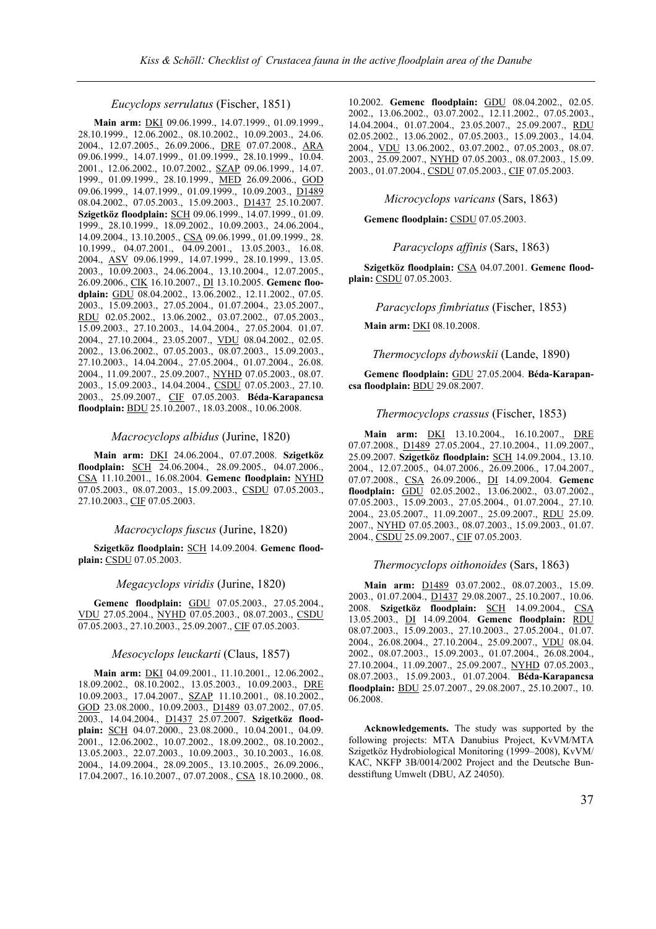### *Eucyclops serrulatus* (Fischer, 1851)

**Main arm:** DKI 09.06.1999., 14.07.1999., 01.09.1999., 28.10.1999., 12.06.2002., 08.10.2002., 10.09.2003., 24.06. 2004., 12.07.2005., 26.09.2006., DRE 07.07.2008., ARA 09.06.1999., 14.07.1999., 01.09.1999., 28.10.1999., 10.04. 2001., 12.06.2002., 10.07.2002., SZAP 09.06.1999., 14.07. 1999., 01.09.1999., 28.10.1999., MED 26.09.2006., GOD 09.06.1999., 14.07.1999., 01.09.1999., 10.09.2003., D1489 08.04.2002., 07.05.2003., 15.09.2003., D1437 25.10.2007. **Szigetköz floodplain:** SCH 09.06.1999., 14.07.1999., 01.09. 1999., 28.10.1999., 18.09.2002., 10.09.2003., 24.06.2004., 14.09.2004., 13.10.2005., CSA 09.06.1999., 01.09.1999., 28. 10.1999., 04.07.2001., 04.09.2001., 13.05.2003., 16.08. 2004., ASV 09.06.1999., 14.07.1999., 28.10.1999., 13.05. 2003., 10.09.2003., 24.06.2004., 13.10.2004., 12.07.2005., 26.09.2006., CIK 16.10.2007., DI 13.10.2005. **Gemenc floodplain:** GDU 08.04.2002., 13.06.2002., 12.11.2002., 07.05. 2003., 15.09.2003., 27.05.2004., 01.07.2004., 23.05.2007., RDU 02.05.2002., 13.06.2002., 03.07.2002., 07.05.2003., 15.09.2003., 27.10.2003., 14.04.2004., 27.05.2004. 01.07. 2004., 27.10.2004., 23.05.2007., VDU 08.04.2002., 02.05. 2002., 13.06.2002., 07.05.2003., 08.07.2003., 15.09.2003., 27.10.2003., 14.04.2004., 27.05.2004., 01.07.2004., 26.08. 2004., 11.09.2007., 25.09.2007., NYHD 07.05.2003., 08.07. 2003., 15.09.2003., 14.04.2004., CSDU 07.05.2003., 27.10. 2003., 25.09.2007., CIF 07.05.2003. **Béda-Karapancsa floodplain:** BDU 25.10.2007., 18.03.2008., 10.06.2008.

### *Macrocyclops albidus* (Jurine, 1820)

**Main arm:** DKI 24.06.2004., 07.07.2008. **Szigetköz floodplain:** SCH 24.06.2004., 28.09.2005., 04.07.2006., CSA 11.10.2001., 16.08.2004. **Gemenc floodplain:** NYHD 07.05.2003., 08.07.2003., 15.09.2003., CSDU 07.05.2003., 27.10.2003., CIF 07.05.2003.

### *Macrocyclops fuscus* (Jurine, 1820)

**Szigetköz floodplain:** SCH 14.09.2004. **Gemenc floodplain:** CSDU 07.05.2003.

### *Megacyclops viridis* (Jurine, 1820)

**Gemenc floodplain:** GDU 07.05.2003., 27.05.2004., VDU 27.05.2004., NYHD 07.05.2003., 08.07.2003., CSDU 07.05.2003., 27.10.2003., 25.09.2007., CIF 07.05.2003.

### *Mesocyclops leuckarti* (Claus, 1857)

**Main arm:** DKI 04.09.2001., 11.10.2001., 12.06.2002., 18.09.2002., 08.10.2002., 13.05.2003., 10.09.2003., DRE 10.09.2003., 17.04.2007., SZAP 11.10.2001., 08.10.2002., GOD 23.08.2000., 10.09.2003., D1489 03.07.2002., 07.05. 2003., 14.04.2004., D1437 25.07.2007. **Szigetköz floodplain:** SCH 04.07.2000., 23.08.2000., 10.04.2001., 04.09. 2001., 12.06.2002., 10.07.2002., 18.09.2002., 08.10.2002., 13.05.2003., 22.07.2003., 10.09.2003., 30.10.2003., 16.08. 2004., 14.09.2004., 28.09.2005., 13.10.2005., 26.09.2006., 17.04.2007., 16.10.2007., 07.07.2008., CSA 18.10.2000., 08.

10.2002. **Gemenc floodplain:** GDU 08.04.2002., 02.05. 2002., 13.06.2002., 03.07.2002., 12.11.2002., 07.05.2003., 14.04.2004., 01.07.2004., 23.05.2007., 25.09.2007., RDU 02.05.2002., 13.06.2002., 07.05.2003., 15.09.2003., 14.04. 2004., VDU 13.06.2002., 03.07.2002., 07.05.2003., 08.07. 2003., 25.09.2007., NYHD 07.05.2003., 08.07.2003., 15.09. 2003., 01.07.2004., CSDU 07.05.2003., CIF 07.05.2003.

*Microcyclops varicans* (Sars, 1863)

**Gemenc floodplain:** CSDU 07.05.2003.

*Paracyclops affinis* (Sars, 1863)

**Szigetköz floodplain:** CSA 04.07.2001. **Gemenc floodplain:** CSDU 07.05.2003.

*Paracyclops fimbriatus* (Fischer, 1853)

**Main arm:** DKI 08.10.2008.

*Thermocyclops dybowskii* (Lande, 1890)

**Gemenc floodplain:** GDU 27.05.2004. **Béda-Karapancsa floodplain:** BDU 29.08.2007.

#### *Thermocyclops crassus* (Fischer, 1853)

**Main arm:** DKI 13.10.2004., 16.10.2007., DRE 07.07.2008., D1489 27.05.2004., 27.10.2004., 11.09.2007., 25.09.2007. **Szigetköz floodplain:** SCH 14.09.2004., 13.10. 2004., 12.07.2005., 04.07.2006., 26.09.2006., 17.04.2007., 07.07.2008., CSA 26.09.2006., DI 14.09.2004. **Gemenc floodplain:** GDU 02.05.2002., 13.06.2002., 03.07.2002., 07.05.2003., 15.09.2003., 27.05.2004., 01.07.2004., 27.10. 2004., 23.05.2007., 11.09.2007., 25.09.2007., RDU 25.09. 2007., NYHD 07.05.2003., 08.07.2003., 15.09.2003., 01.07. 2004., CSDU 25.09.2007., CIF 07.05.2003.

### *Thermocyclops oithonoides* (Sars, 1863)

**Main arm:** D1489 03.07.2002., 08.07.2003., 15.09. 2003., 01.07.2004., D1437 29.08.2007., 25.10.2007., 10.06. 2008. **Szigetköz floodplain:** SCH 14.09.2004., CSA 13.05.2003., DI 14.09.2004. **Gemenc floodplain:** RDU 08.07.2003., 15.09.2003., 27.10.2003., 27.05.2004., 01.07. 2004., 26.08.2004., 27.10.2004., 25.09.2007., VDU 08.04. 2002., 08.07.2003., 15.09.2003., 01.07.2004., 26.08.2004., 27.10.2004., 11.09.2007., 25.09.2007., NYHD 07.05.2003., 08.07.2003., 15.09.2003., 01.07.2004. **Béda-Karapancsa floodplain:** BDU 25.07.2007., 29.08.2007., 25.10.2007., 10. 06.2008.

**Acknowledgements.** The study was supported by the following projects: MTA Danubius Project, KvVM/MTA Szigetköz Hydrobiological Monitoring (1999–2008), KvVM/ KAC, NKFP 3B/0014/2002 Project and the Deutsche Bundesstiftung Umwelt (DBU, AZ 24050).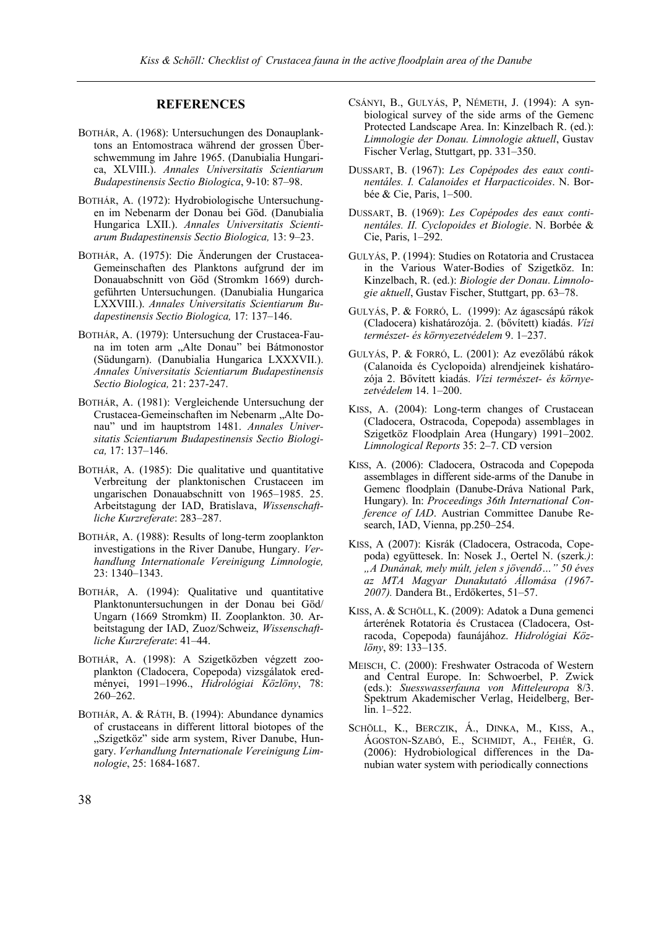# **REFERENCES**

- BOTHÁR, A. (1968): Untersuchungen des Donauplanktons an Entomostraca während der grossen Überschwemmung im Jahre 1965. (Danubialia Hungarica, XLVIII.). *Annales Universitatis Scientiarum Budapestinensis Sectio Biologica*, 9-10: 87–98.
- BOTHÁR, A. (1972): Hydrobiologische Untersuchungen im Nebenarm der Donau bei Göd. (Danubialia Hungarica LXII.). *Annales Universitatis Scientiarum Budapestinensis Sectio Biologica,* 13: 9–23.
- BOTHÁR, A. (1975): Die Änderungen der Crustacea-Gemeinschaften des Planktons aufgrund der im Donauabschnitt von Göd (Stromkm 1669) durchgeführten Untersuchungen. (Danubialia Hungarica LXXVIII.). *Annales Universitatis Scientiarum Budapestinensis Sectio Biologica,* 17: 137–146.
- BOTHÁR, A. (1979): Untersuchung der Crustacea-Fauna im toten arm "Alte Donau" bei Bátmonostor (Südungarn). (Danubialia Hungarica LXXXVII.). *Annales Universitatis Scientiarum Budapestinensis Sectio Biologica,* 21: 237-247.
- BOTHÁR, A. (1981): Vergleichende Untersuchung der Crustacea-Gemeinschaften im Nebenarm "Alte Donau" und im hauptstrom 1481. *Annales Universitatis Scientiarum Budapestinensis Sectio Biologica,* 17: 137–146.
- BOTHÁR, A. (1985): Die qualitative und quantitative Verbreitung der planktonischen Crustaceen im ungarischen Donauabschnitt von 1965–1985. 25. Arbeitstagung der IAD, Bratislava, *Wissenschaftliche Kurzreferate*: 283–287.
- BOTHÁR, A. (1988): Results of long-term zooplankton investigations in the River Danube, Hungary. *Verhandlung Internationale Vereinigung Limnologie,* 23: 1340–1343.
- BOTHÁR, A. (1994): Qualitative und quantitative Planktonuntersuchungen in der Donau bei Göd/ Ungarn (1669 Stromkm) II. Zooplankton. 30. Arbeitstagung der IAD, Zuoz/Schweiz, *Wissenschaftliche Kurzreferate*: 41–44.
- BOTHÁR, A. (1998): A Szigetközben végzett zooplankton (Cladocera, Copepoda) vizsgálatok eredményei, 1991–1996., *Hidrológiai Közlöny*, 78: 260–262.
- BOTHÁR, A. & RÁTH, B. (1994): Abundance dynamics of crustaceans in different littoral biotopes of the "Szigetköz" side arm system, River Danube, Hungary. *Verhandlung Internationale Vereinigung Limnologie*, 25: 1684-1687.
- CSÁNYI, B., GULYÁS, P, NÉMETH, J. (1994): A synbiological survey of the side arms of the Gemenc Protected Landscape Area. In: Kinzelbach R. (ed.): *Limnologie der Donau. Limnologie aktuell*, Gustav Fischer Verlag, Stuttgart, pp. 331–350.
- DUSSART, B. (1967): *Les Copépodes des eaux continentáles. I. Calanoides et Harpacticoides*. N. Borbée & Cie, Paris, 1–500.
- DUSSART, B. (1969): *Les Copépodes des eaux continentáles. II. Cyclopoides et Biologie*. N. Borbée & Cie, Paris, 1–292.
- GULYÁS, P. (1994): Studies on Rotatoria and Crustacea in the Various Water-Bodies of Szigetköz. In: Kinzelbach, R. (ed.): *Biologie der Donau*. *Limnologie aktuell*, Gustav Fischer, Stuttgart, pp. 63–78.
- GULYÁS, P. & FORRÓ, L. (1999): Az ágascsápú rákok (Cladocera) kishatározója. 2. (bővített) kiadás. *Vízi természet- és környezetvédelem* 9. 1–237.
- GULYÁS, P. & FORRÓ, L. (2001): Az evezőlábú rákok (Calanoida és Cyclopoida) alrendjeinek kishatározója 2. Bővített kiadás. *Vízi természet- és környezetvédelem* 14. 1–200.
- KISS, A. (2004): Long-term changes of Crustacean (Cladocera, Ostracoda, Copepoda) assemblages in Szigetköz Floodplain Area (Hungary) 1991–2002. *Limnological Reports* 35: 2–7. CD version
- KISS, A. (2006): Cladocera, Ostracoda and Copepoda assemblages in different side-arms of the Danube in Gemenc floodplain (Danube-Dráva National Park, Hungary). In: *Proceedings 36th International Conference of IAD*. Austrian Committee Danube Research, IAD, Vienna, pp.250–254.
- KISS, A (2007): Kisrák (Cladocera, Ostracoda, Copepoda) együttesek. In: Nosek J., Oertel N. (szerk*.)*: *"A Dunának, mely múlt, jelen s jövendő…" 50 éves az MTA Magyar Dunakutató Állomása (1967- 2007).* Dandera Bt., Erdőkertes, 51–57.
- KISS, A. & SCHÖLL, K. (2009): Adatok a Duna gemenci árterének Rotatoria és Crustacea (Cladocera, Ostracoda, Copepoda) faunájához. *Hidrológiai Közlöny*, 89: 133–135.
- MEISCH, C. (2000): Freshwater Ostracoda of Western and Central Europe. In: Schwoerbel, P. Zwick (eds.): *Suesswasserfauna von Mitteleuropa* 8/3. Spektrum Akademischer Verlag, Heidelberg, Berlin. 1–522.
- SCHÖLL, K., BERCZIK, Á., DINKA, M., KISS, A., ÁGOSTON-SZABÓ, E., SCHMIDT, A., FEHÉR, G. (2006): Hydrobiological differences in the Danubian water system with periodically connections